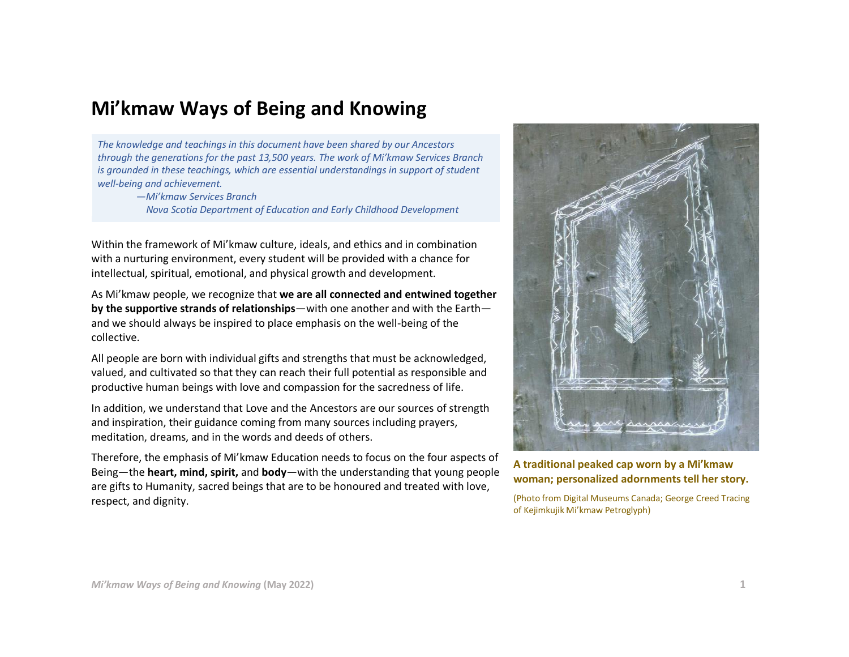## **Mi'kmaw Ways of Being and Knowing**

*The knowledge and teachings in this document have been shared by our Ancestors through the generations for the past 13,500 years. The work of Mi'kmaw Services Branch is grounded in these teachings, which are essential understandings in support of student well-being and achievement.*

> *—Mi'kmaw Services Branch Nova Scotia Department of Education and Early Childhood Development*

Within the framework of Mi'kmaw culture, ideals, and ethics and in combination with a nurturing environment, every student will be provided with a chance for intellectual, spiritual, emotional, and physical growth and development.

As Mi'kmaw people, we recognize that **we are all connected and entwined together by the supportive strands of relationships**—with one another and with the Earth and we should always be inspired to place emphasis on the well-being of the collective.

All people are born with individual gifts and strengths that must be acknowledged, valued, and cultivated so that they can reach their full potential as responsible and productive human beings with love and compassion for the sacredness of life.

In addition, we understand that Love and the Ancestors are our sources of strength and inspiration, their guidance coming from many sources including prayers, meditation, dreams, and in the words and deeds of others.

Therefore, the emphasis of Mi'kmaw Education needs to focus on the four aspects of Being—the **heart, mind, spirit,** and **body**—with the understanding that young people are gifts to Humanity, sacred beings that are to be honoured and treated with love, respect, and dignity.



**A traditional peaked cap worn by a Mi'kmaw woman; personalized adornments tell her story.**

(Photo from Digital Museums Canada; George Creed Tracing of Kejimkujik Mi'kmaw Petroglyph)